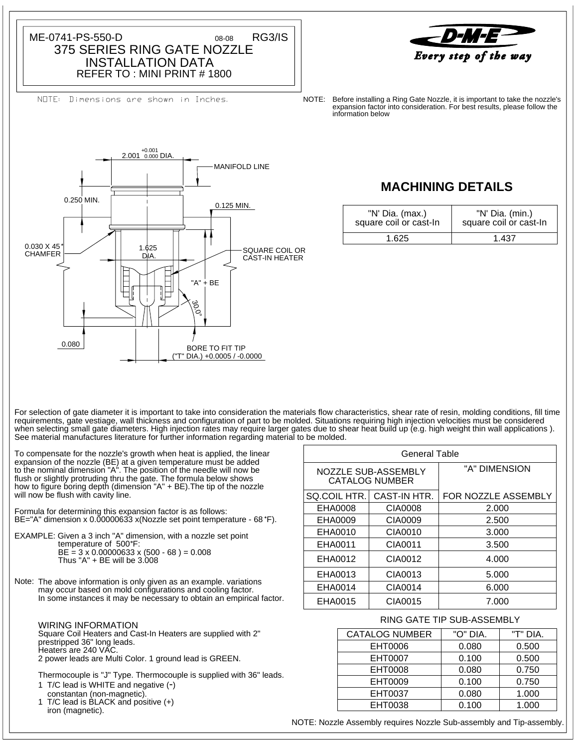INSTALLATION DATA 375 SERIES RING GATE NOZZLE ME-0741-PS-550-D 08-08 RG3/IS 08-08

REFER TO : MINI PRINT # 1800

NOTE: Dimensions are shown in Inches.



NOTE: information below expansion factor into consideration. For best results, please follow the Before installing a Ring Gate Nozzle, it is important to take the nozzle's



# **MACHINING DETAILS**

| "N' Dia. (max.)<br>square coil or cast-In | "N' Dia. (min.)<br>square coil or cast-In |
|-------------------------------------------|-------------------------------------------|
| 1.625                                     | 1 437                                     |

See material manufactures literature for further information regarding material to be molded. when selecting small gate diameters. High injection rates may require larger gates due to shear heat build up (e.g. high weight thin wall applications ). requirements, gate vestiage, wall thickness and configuration of part to be molded. Situations requiring high injection velocities must be considered For selection of gate diameter it is important to take into consideration the materials flow characteristics, shear rate of resin, molding conditions, fill time

will now be flush with cavity line. how to figure boring depth (dimension "A" + BE).The tip of the nozzle flush or slightly protruding thru the gate. The formula below shows to the nominal dimension "A". The position of the needle will now be expansion of the nozzle (BE) at a given temperature must be added To compensate for the nozzle's growth when heat is applied, the linear

BE="A" dimension x 0.00000633 x(Nozzle set point temperature - 68 °F). Formula for determining this expansion factor is as follows:

Thus " $A$ " + BE will be 3.008  $BE = 3 \times 0.00000633 \times (500 - 68) = 0.008$ temperature of 500°F: EXAMPLE: Given a 3 inch "A" dimension, with a nozzle set point

Note: The above information is only given as an example. variations In some instances it may be necessary to obtain an empirical factor. may occur based on mold configurations and cooling factor.

2 power leads are Multi Color. 1 ground lead is GREEN. Heaters are 240 VAC. prestripped 36" long leads. Square Coil Heaters and Cast-In Heaters are supplied with 2" WIRING INFORMATION

1 T/C lead is WHITE and negative (-) Thermocouple is "J" Type. Thermocouple is supplied with 36" leads.

1 T/C lead is BLACK and positive (+) constantan (non-magnetic).

iron (magnetic).

| General Table |                                              |                            |  |  |
|---------------|----------------------------------------------|----------------------------|--|--|
|               | NOZZLE SUB-ASSEMBLY<br><b>CATALOG NUMBER</b> | "A" DIMENSION              |  |  |
| SQ.COIL HTR.  | CAST-IN HTR.                                 | <b>FOR NOZZLE ASSEMBLY</b> |  |  |
| EHA0008       | CIA0008                                      | 2.000                      |  |  |
| EHA0009       | CIA0009                                      | 2.500                      |  |  |
| EHA0010       | CIA0010                                      | 3.000                      |  |  |
| EHA0011       | CIA0011                                      | 3.500                      |  |  |
| EHA0012       | CIA0012                                      | 4.000                      |  |  |
| EHA0013       | CIA0013                                      | 5.000                      |  |  |
| EHA0014       | CIA0014                                      | 6.000                      |  |  |
| EHA0015       | CIA0015                                      | 7.000                      |  |  |

## RING GATE TIP SUB-ASSEMBLY

| <b>CATALOG NUMBER</b> | "O" DIA. | "T" DIA. |
|-----------------------|----------|----------|
| EHT0006               | 0.080    | 0.500    |
| <b>EHT0007</b>        | 0.100    | 0.500    |
| EHT0008               | 0.080    | 0.750    |
| EHT0009               | 0.100    | 0.750    |
| EHT0037               | 0.080    | 1.000    |
| EHT0038               | 0.100    | 1.000    |

NOTE: Nozzle Assembly requires Nozzle Sub-assembly and Tip-assembly.